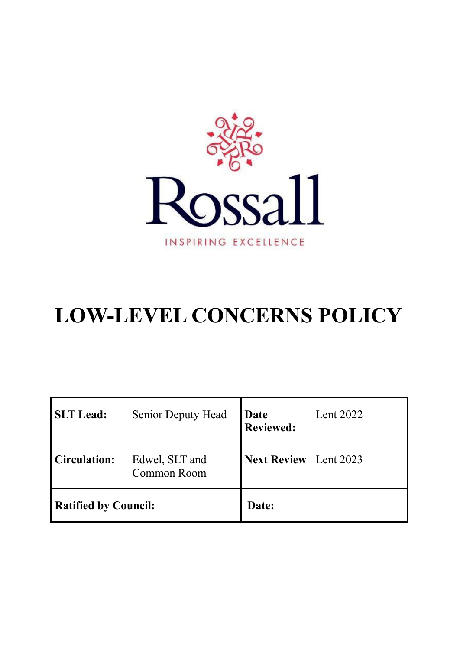

# **LOW-LEVEL CONCERNS POLICY**

| <b>SLT</b> Lead:            | <b>Senior Deputy Head</b>            | <b>Date</b><br>Reviewed:     | Lent 2022 |
|-----------------------------|--------------------------------------|------------------------------|-----------|
| <b>Circulation:</b>         | Edwel, SLT and<br><b>Common Room</b> | <b>Next Review</b> Lent 2023 |           |
| <b>Ratified by Council:</b> |                                      | Date:                        |           |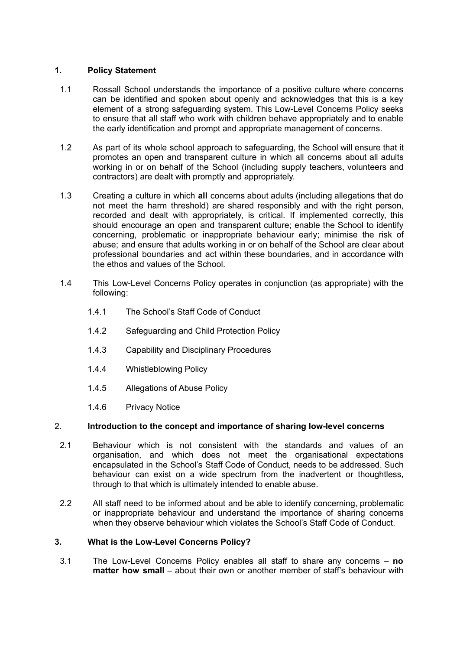# **1. Policy Statement**

- 1.1 Rossall School understands the importance of a positive culture where concerns can be identified and spoken about openly and acknowledges that this is a key element of a strong safeguarding system. This Low-Level Concerns Policy seeks to ensure that all staff who work with children behave appropriately and to enable the early identification and prompt and appropriate management of concerns.
- 1.2 As part of its whole school approach to safeguarding, the School will ensure that it promotes an open and transparent culture in which all concerns about all adults working in or on behalf of the School (including supply teachers, volunteers and contractors) are dealt with promptly and appropriately.
- 1.3 Creating a culture in which **all** concerns about adults (including allegations that do not meet the harm threshold) are shared responsibly and with the right person, recorded and dealt with appropriately, is critical. If implemented correctly, this should encourage an open and transparent culture; enable the School to identify concerning, problematic or inappropriate behaviour early; minimise the risk of abuse; and ensure that adults working in or on behalf of the School are clear about professional boundaries and act within these boundaries, and in accordance with the ethos and values of the School.
- 1.4 This Low-Level Concerns Policy operates in conjunction (as appropriate) with the following:
	- 1.4.1 The School's Staff Code of Conduct
	- 1.4.2 Safeguarding and Child Protection Policy
	- 1.4.3 Capability and Disciplinary Procedures
	- 1.4.4 Whistleblowing Policy
	- 1.4.5 Allegations of Abuse Policy
	- 1.4.6 Privacy Notice

# 2. **Introduction to the concept and importance of sharing low-level concerns**

- 2.1 Behaviour which is not consistent with the standards and values of an organisation, and which does not meet the organisational expectations encapsulated in the School's Staff Code of Conduct, needs to be addressed. Such behaviour can exist on a wide spectrum from the inadvertent or thoughtless, through to that which is ultimately intended to enable abuse.
- 2.2 All staff need to be informed about and be able to identify concerning, problematic or inappropriate behaviour and understand the importance of sharing concerns when they observe behaviour which violates the School's Staff Code of Conduct.

# **3. What is the Low-Level Concerns Policy?**

3.1 The Low-Level Concerns Policy enables all staff to share any concerns – **no matter how small** – about their own or another member of staff's behaviour with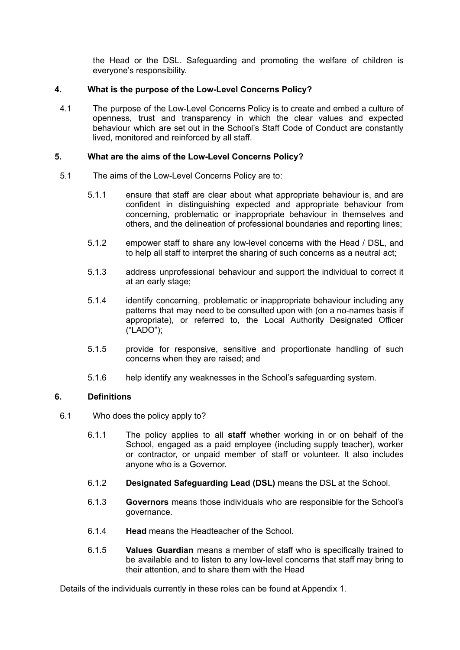the Head or the DSL. Safeguarding and promoting the welfare of children is everyone's responsibility.

# **4. What is the purpose of the Low-Level Concerns Policy?**

4.1 The purpose of the Low-Level Concerns Policy is to create and embed a culture of openness, trust and transparency in which the clear values and expected behaviour which are set out in the School's Staff Code of Conduct are constantly lived, monitored and reinforced by all staff.

# **5. What are the aims of the Low-Level Concerns Policy?**

- 5.1 The aims of the Low-Level Concerns Policy are to:
	- 5.1.1 ensure that staff are clear about what appropriate behaviour is, and are confident in distinguishing expected and appropriate behaviour from concerning, problematic or inappropriate behaviour in themselves and others, and the delineation of professional boundaries and reporting lines;
	- 5.1.2 empower staff to share any low-level concerns with the Head / DSL, and to help all staff to interpret the sharing of such concerns as a neutral act;
	- 5.1.3 address unprofessional behaviour and support the individual to correct it at an early stage;
	- 5.1.4 identify concerning, problematic or inappropriate behaviour including any patterns that may need to be consulted upon with (on a no-names basis if appropriate), or referred to, the Local Authority Designated Officer ("LADO");
	- 5.1.5 provide for responsive, sensitive and proportionate handling of such concerns when they are raised; and
	- 5.1.6 help identify any weaknesses in the School's safeguarding system.

# **6. Definitions**

- 6.1 Who does the policy apply to?
	- 6.1.1 The policy applies to all **staff** whether working in or on behalf of the School, engaged as a paid employee (including supply teacher), worker or contractor, or unpaid member of staff or volunteer. It also includes anyone who is a Governor.
	- 6.1.2 **Designated Safeguarding Lead (DSL)** means the DSL at the School.
	- 6.1.3 **Governors** means those individuals who are responsible for the School's governance.
	- 6.1.4 **Head** means the Headteacher of the School.
	- 6.1.5 **Values Guardian** means a member of staff who is specifically trained to be available and to listen to any low-level concerns that staff may bring to their attention, and to share them with the Head

Details of the individuals currently in these roles can be found at Appendix 1.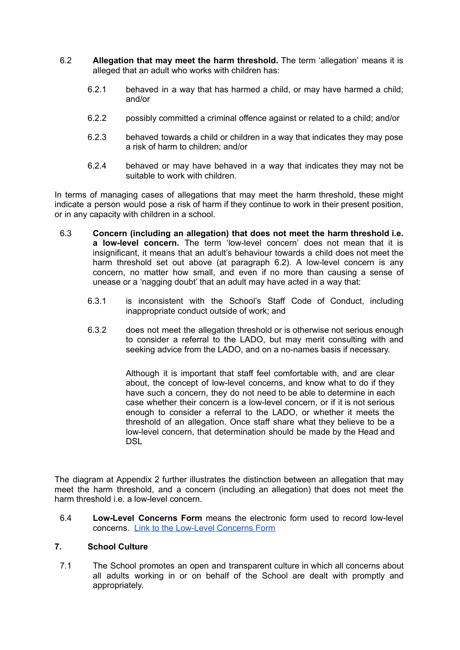- 6.2 **Allegation that may meet the harm threshold.** The term 'allegation' means it is alleged that an adult who works with children has:
	- 6.2.1 behaved in a way that has harmed a child, or may have harmed a child; and/or
	- 6.2.2 possibly committed a criminal offence against or related to a child; and/or
	- 6.2.3 behaved towards a child or children in a way that indicates they may pose a risk of harm to children; and/or
	- 6.2.4 behaved or may have behaved in a way that indicates they may not be suitable to work with children.

In terms of managing cases of allegations that may meet the harm threshold, these might indicate a person would pose a risk of harm if they continue to work in their present position, or in any capacity with children in a school.

- 6.3 **Concern (including an allegation) that does not meet the harm threshold i.e. a low-level concern.** The term 'low-level concern' does not mean that it is insignificant, it means that an adult's behaviour towards a child does not meet the harm threshold set out above (at paragraph 6.2). A low-level concern is any concern, no matter how small, and even if no more than causing a sense of unease or a 'nagging doubt' that an adult may have acted in a way that:
	- 6.3.1 is inconsistent with the School's Staff Code of Conduct, including inappropriate conduct outside of work; and
	- 6.3.2 does not meet the allegation threshold or is otherwise not serious enough to consider a referral to the LADO, but may merit consulting with and seeking advice from the LADO, and on a no-names basis if necessary.

Although it is important that staff feel comfortable with, and are clear about, the concept of low-level concerns, and know what to do if they have such a concern, they do not need to be able to determine in each case whether their concern is a low-level concern, or if it is not serious enough to consider a referral to the LADO, or whether it meets the threshold of an allegation. Once staff share what they believe to be a low-level concern, that determination should be made by the Head and DSL

The diagram at Appendix 2 further illustrates the distinction between an allegation that may meet the harm threshold, and a concern (including an allegation) that does not meet the harm threshold i.e. a low-level concern.

6.4 **Low-Level Concerns Form** means the electronic form used to record low-level concerns. Link to the [Low-Level](https://forms.gle/rLbAckPFCA68nYXd8) Concerns Form

#### **7. School Culture**

7.1 The School promotes an open and transparent culture in which all concerns about all adults working in or on behalf of the School are dealt with promptly and appropriately.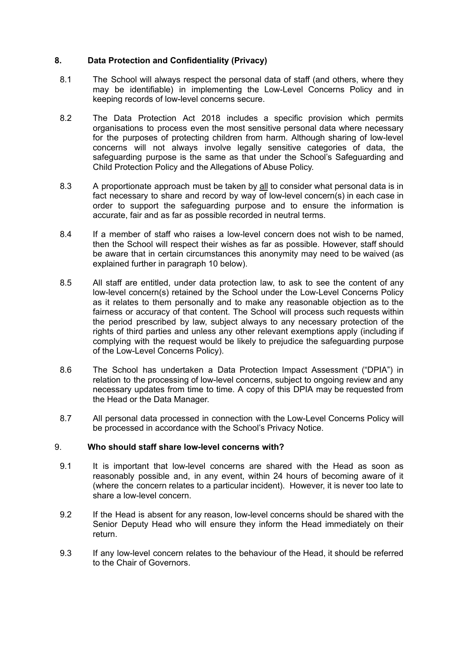# **8. Data Protection and Confidentiality (Privacy)**

- 8.1 The School will always respect the personal data of staff (and others, where they may be identifiable) in implementing the Low-Level Concerns Policy and in keeping records of low-level concerns secure.
- 8.2 The Data Protection Act 2018 includes a specific provision which permits organisations to process even the most sensitive personal data where necessary for the purposes of protecting children from harm. Although sharing of low-level concerns will not always involve legally sensitive categories of data, the safeguarding purpose is the same as that under the School's Safeguarding and Child Protection Policy and the Allegations of Abuse Policy.
- 8.3 A proportionate approach must be taken by all to consider what personal data is in fact necessary to share and record by way of low-level concern(s) in each case in order to support the safeguarding purpose and to ensure the information is accurate, fair and as far as possible recorded in neutral terms.
- 8.4 If a member of staff who raises a low-level concern does not wish to be named, then the School will respect their wishes as far as possible. However, staff should be aware that in certain circumstances this anonymity may need to be waived (as explained further in paragraph 10 below).
- 8.5 All staff are entitled, under data protection law, to ask to see the content of any low-level concern(s) retained by the School under the Low-Level Concerns Policy as it relates to them personally and to make any reasonable objection as to the fairness or accuracy of that content. The School will process such requests within the period prescribed by law, subject always to any necessary protection of the rights of third parties and unless any other relevant exemptions apply (including if complying with the request would be likely to prejudice the safeguarding purpose of the Low-Level Concerns Policy).
- 8.6 The School has undertaken a Data Protection Impact Assessment ("DPIA") in relation to the processing of low-level concerns, subject to ongoing review and any necessary updates from time to time. A copy of this DPIA may be requested from the Head or the Data Manager.
- 8.7 All personal data processed in connection with the Low-Level Concerns Policy will be processed in accordance with the School's Privacy Notice.

#### 9. **Who should staff share low-level concerns with?**

- 9.1 It is important that low-level concerns are shared with the Head as soon as reasonably possible and, in any event, within 24 hours of becoming aware of it (where the concern relates to a particular incident). However, it is never too late to share a low-level concern.
- 9.2 If the Head is absent for any reason, low-level concerns should be shared with the Senior Deputy Head who will ensure they inform the Head immediately on their return.
- 9.3 If any low-level concern relates to the behaviour of the Head, it should be referred to the Chair of Governors.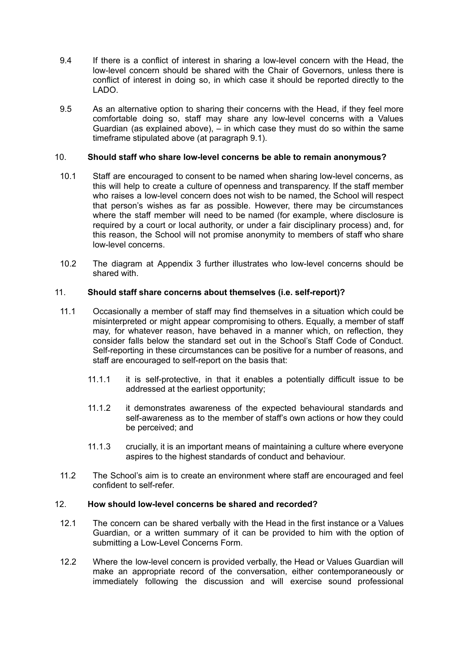- 9.4 If there is a conflict of interest in sharing a low-level concern with the Head, the low-level concern should be shared with the Chair of Governors, unless there is conflict of interest in doing so, in which case it should be reported directly to the LADO.
- 9.5 As an alternative option to sharing their concerns with the Head, if they feel more comfortable doing so, staff may share any low-level concerns with a Values Guardian (as explained above), – in which case they must do so within the same timeframe stipulated above (at paragraph 9.1).

# 10. **Should staff who share low-level concerns be able to remain anonymous?**

- 10.1 Staff are encouraged to consent to be named when sharing low-level concerns, as this will help to create a culture of openness and transparency. If the staff member who raises a low-level concern does not wish to be named, the School will respect that person's wishes as far as possible. However, there may be circumstances where the staff member will need to be named (for example, where disclosure is required by a court or local authority, or under a fair disciplinary process) and, for this reason, the School will not promise anonymity to members of staff who share low-level concerns.
- 10.2 The diagram at Appendix 3 further illustrates who low-level concerns should be shared with.

#### 11. **Should staff share concerns about themselves (i.e. self-report)?**

- 11.1 Occasionally a member of staff may find themselves in a situation which could be misinterpreted or might appear compromising to others. Equally, a member of staff may, for whatever reason, have behaved in a manner which, on reflection, they consider falls below the standard set out in the School's Staff Code of Conduct. Self-reporting in these circumstances can be positive for a number of reasons, and staff are encouraged to self-report on the basis that:
	- 11.1.1 it is self-protective, in that it enables a potentially difficult issue to be addressed at the earliest opportunity;
	- 11.1.2 it demonstrates awareness of the expected behavioural standards and self-awareness as to the member of staff's own actions or how they could be perceived; and
	- 11.1.3 crucially, it is an important means of maintaining a culture where everyone aspires to the highest standards of conduct and behaviour.
- 11.2 The School's aim is to create an environment where staff are encouraged and feel confident to self-refer.

# 12. **How should low-level concerns be shared and recorded?**

- 12.1 The concern can be shared verbally with the Head in the first instance or a Values Guardian, or a written summary of it can be provided to him with the option of submitting a Low-Level Concerns Form.
- 12.2 Where the low-level concern is provided verbally, the Head or Values Guardian will make an appropriate record of the conversation, either contemporaneously or immediately following the discussion and will exercise sound professional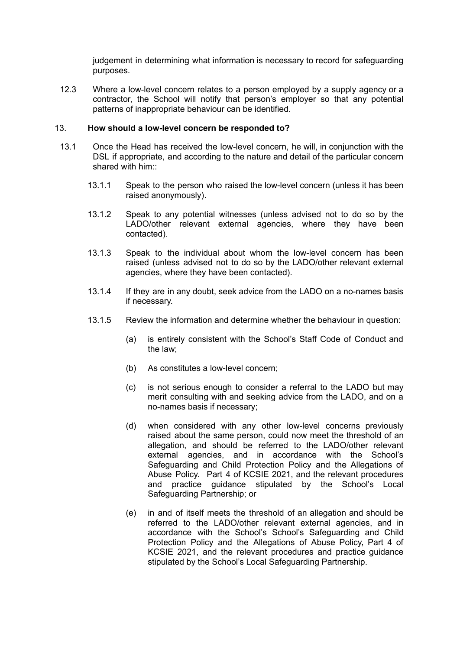judgement in determining what information is necessary to record for safeguarding purposes.

12.3 Where a low-level concern relates to a person employed by a supply agency or a contractor, the School will notify that person's employer so that any potential patterns of inappropriate behaviour can be identified.

#### 13. **How should a low-level concern be responded to?**

- 13.1 Once the Head has received the low-level concern, he will, in conjunction with the DSL if appropriate, and according to the nature and detail of the particular concern shared with him"
	- 13.1.1 Speak to the person who raised the low-level concern (unless it has been raised anonymously).
	- 13.1.2 Speak to any potential witnesses (unless advised not to do so by the LADO/other relevant external agencies, where they have been contacted).
	- 13.1.3 Speak to the individual about whom the low-level concern has been raised (unless advised not to do so by the LADO/other relevant external agencies, where they have been contacted).
	- 13.1.4 If they are in any doubt, seek advice from the LADO on a no-names basis if necessary.
	- 13.1.5 Review the information and determine whether the behaviour in question:
		- (a) is entirely consistent with the School's Staff Code of Conduct and the law;
		- (b) As constitutes a low-level concern;
		- (c) is not serious enough to consider a referral to the LADO but may merit consulting with and seeking advice from the LADO, and on a no-names basis if necessary;
		- (d) when considered with any other low-level concerns previously raised about the same person, could now meet the threshold of an allegation, and should be referred to the LADO/other relevant external agencies, and in accordance with the School's Safeguarding and Child Protection Policy and the Allegations of Abuse Policy. Part 4 of KCSIE 2021, and the relevant procedures and practice guidance stipulated by the School's Local Safeguarding Partnership; or
		- (e) in and of itself meets the threshold of an allegation and should be referred to the LADO/other relevant external agencies, and in accordance with the School's School's Safeguarding and Child Protection Policy and the Allegations of Abuse Policy, Part 4 of KCSIE 2021, and the relevant procedures and practice guidance stipulated by the School's Local Safeguarding Partnership.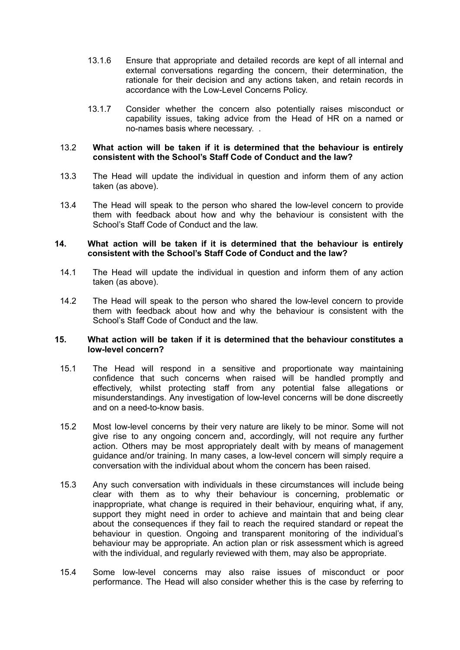- 13.1.6 Ensure that appropriate and detailed records are kept of all internal and external conversations regarding the concern, their determination, the rationale for their decision and any actions taken, and retain records in accordance with the Low-Level Concerns Policy.
- 13.1.7 Consider whether the concern also potentially raises misconduct or capability issues, taking advice from the Head of HR on a named or no-names basis where necessary. .

#### 13.2 **What action will be taken if it is determined that the behaviour is entirely consistent with the School's Staff Code of Conduct and the law?**

- 13.3 The Head will update the individual in question and inform them of any action taken (as above).
- 13.4 The Head will speak to the person who shared the low-level concern to provide them with feedback about how and why the behaviour is consistent with the School's Staff Code of Conduct and the law.

#### **14. What action will be taken if it is determined that the behaviour is entirely consistent with the School's Staff Code of Conduct and the law?**

- 14.1 The Head will update the individual in question and inform them of any action taken (as above).
- 14.2 The Head will speak to the person who shared the low-level concern to provide them with feedback about how and why the behaviour is consistent with the School's Staff Code of Conduct and the law.

#### **15. What action will be taken if it is determined that the behaviour constitutes a low-level concern?**

- 15.1 The Head will respond in a sensitive and proportionate way maintaining confidence that such concerns when raised will be handled promptly and effectively, whilst protecting staff from any potential false allegations or misunderstandings. Any investigation of low-level concerns will be done discreetly and on a need-to-know basis.
- 15.2 Most low-level concerns by their very nature are likely to be minor. Some will not give rise to any ongoing concern and, accordingly, will not require any further action. Others may be most appropriately dealt with by means of management guidance and/or training. In many cases, a low-level concern will simply require a conversation with the individual about whom the concern has been raised.
- 15.3 Any such conversation with individuals in these circumstances will include being clear with them as to why their behaviour is concerning, problematic or inappropriate, what change is required in their behaviour, enquiring what, if any, support they might need in order to achieve and maintain that and being clear about the consequences if they fail to reach the required standard or repeat the behaviour in question. Ongoing and transparent monitoring of the individual's behaviour may be appropriate. An action plan or risk assessment which is agreed with the individual, and regularly reviewed with them, may also be appropriate.
- 15.4 Some low-level concerns may also raise issues of misconduct or poor performance. The Head will also consider whether this is the case by referring to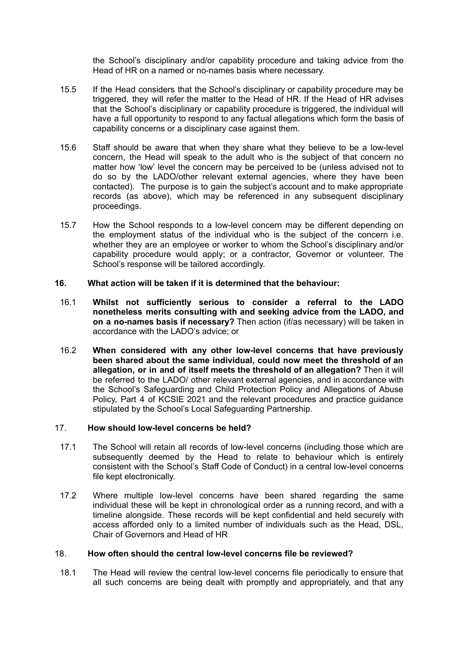the School's disciplinary and/or capability procedure and taking advice from the Head of HR on a named or no-names basis where necessary.

- 15.5 If the Head considers that the School's disciplinary or capability procedure may be triggered, they will refer the matter to the Head of HR. If the Head of HR advises that the School's disciplinary or capability procedure is triggered, the individual will have a full opportunity to respond to any factual allegations which form the basis of capability concerns or a disciplinary case against them.
- 15.6 Staff should be aware that when they share what they believe to be a low-level concern, the Head will speak to the adult who is the subject of that concern no matter how 'low' level the concern may be perceived to be (unless advised not to do so by the LADO/other relevant external agencies, where they have been contacted). The purpose is to gain the subject's account and to make appropriate records (as above), which may be referenced in any subsequent disciplinary proceedings.
- 15.7 How the School responds to a low-level concern may be different depending on the employment status of the individual who is the subject of the concern i.e. whether they are an employee or worker to whom the School's disciplinary and/or capability procedure would apply; or a contractor, Governor or volunteer. The School's response will be tailored accordingly.

#### **16. What action will be taken if it is determined that the behaviour:**

- 16.1 **Whilst not sufficiently serious to consider a referral to the LADO nonetheless merits consulting with and seeking advice from the LADO, and on a no-names basis if necessary?** Then action (if/as necessary) will be taken in accordance with the LADO's advice; or
- 16.2 **When considered with any other low-level concerns that have previously been shared about the same individual, could now meet the threshold of an allegation, or in and of itself meets the threshold of an allegation?** Then it will be referred to the LADO/ other relevant external agencies, and in accordance with the School's Safeguarding and Child Protection Policy and Allegations of Abuse Policy, Part 4 of KCSIE 2021 and the relevant procedures and practice guidance stipulated by the School's Local Safeguarding Partnership.

#### 17. **How should low-level concerns be held?**

- 17.1 The School will retain all records of low-level concerns (including those which are subsequently deemed by the Head to relate to behaviour which is entirely consistent with the School's Staff Code of Conduct) in a central low-level concerns file kept electronically.
- 17.2 Where multiple low-level concerns have been shared regarding the same individual these will be kept in chronological order as a running record, and with a timeline alongside. These records will be kept confidential and held securely with access afforded only to a limited number of individuals such as the Head, DSL, Chair of Governors and Head of HR

#### 18. **How often should the central low-level concerns file be reviewed?**

18.1 The Head will review the central low-level concerns file periodically to ensure that all such concerns are being dealt with promptly and appropriately, and that any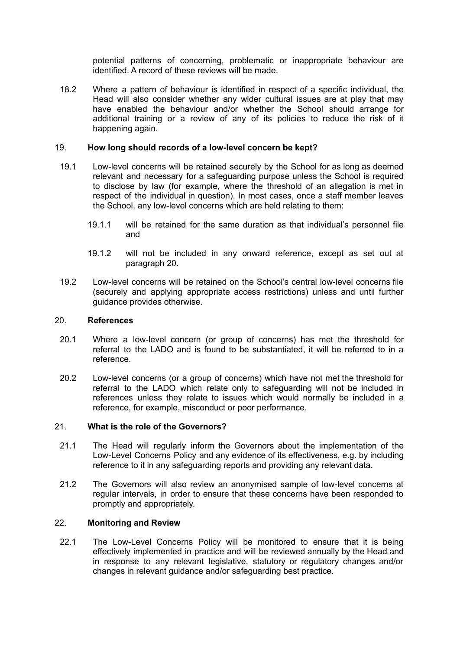potential patterns of concerning, problematic or inappropriate behaviour are identified. A record of these reviews will be made.

18.2 Where a pattern of behaviour is identified in respect of a specific individual, the Head will also consider whether any wider cultural issues are at play that may have enabled the behaviour and/or whether the School should arrange for additional training or a review of any of its policies to reduce the risk of it happening again.

#### 19. **How long should records of a low-level concern be kept?**

- 19.1 Low-level concerns will be retained securely by the School for as long as deemed relevant and necessary for a safeguarding purpose unless the School is required to disclose by law (for example, where the threshold of an allegation is met in respect of the individual in question). In most cases, once a staff member leaves the School, any low-level concerns which are held relating to them:
	- 19.1.1 will be retained for the same duration as that individual's personnel file and
	- 19.1.2 will not be included in any onward reference, except as set out at paragraph 20.
- 19.2 Low-level concerns will be retained on the School's central low-level concerns file (securely and applying appropriate access restrictions) unless and until further guidance provides otherwise.

#### 20. **References**

- 20.1 Where a low-level concern (or group of concerns) has met the threshold for referral to the LADO and is found to be substantiated, it will be referred to in a reference.
- 20.2 Low-level concerns (or a group of concerns) which have not met the threshold for referral to the LADO which relate only to safeguarding will not be included in references unless they relate to issues which would normally be included in a reference, for example, misconduct or poor performance.

#### 21. **What is the role of the Governors?**

- 21.1 The Head will regularly inform the Governors about the implementation of the Low-Level Concerns Policy and any evidence of its effectiveness, e.g. by including reference to it in any safeguarding reports and providing any relevant data.
- 21.2 The Governors will also review an anonymised sample of low-level concerns at regular intervals, in order to ensure that these concerns have been responded to promptly and appropriately.

#### 22. **Monitoring and Review**

22.1 The Low-Level Concerns Policy will be monitored to ensure that it is being effectively implemented in practice and will be reviewed annually by the Head and in response to any relevant legislative, statutory or regulatory changes and/or changes in relevant guidance and/or safeguarding best practice.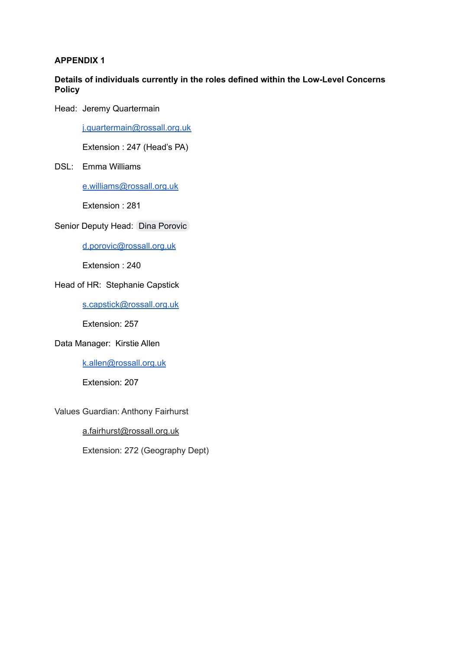# **APPENDIX 1**

# **Details of individuals currently in the roles defined within the Low-Level Concerns Policy**

Head: Jeremy Quartermain

[j.quartermain@rossall.org.uk](mailto:j.quartermain@rossall.org.uk)

Extension : 247 (Head's PA)

# DSL: Emma Williams

[e.williams@rossall.org.uk](mailto:e.williams@rossall.org.uk)

Extension : 281

# Senior Deputy Head: Dina [Porovic](mailto:d.porovic@rossall.org.uk)

[d.porovic@rossall.org.uk](mailto:d.porovic@rossall.org.uk)

Extension : 240

# Head of HR: Stephanie Capstick

[s.capstick@rossall.org.uk](mailto:s.capstick@rossll.org.uk)

Extension: 257

# Data Manager: Kirstie Allen

[k.allen@rossall.org.uk](mailto:k.allen@rossall.org.uk)

Extension: 207

Values Guardian: Anthony Fairhurst

[a.fairhurst@rossall.org.uk](mailto:a.fairhurst@rossall.org.uk)

Extension: 272 (Geography Dept)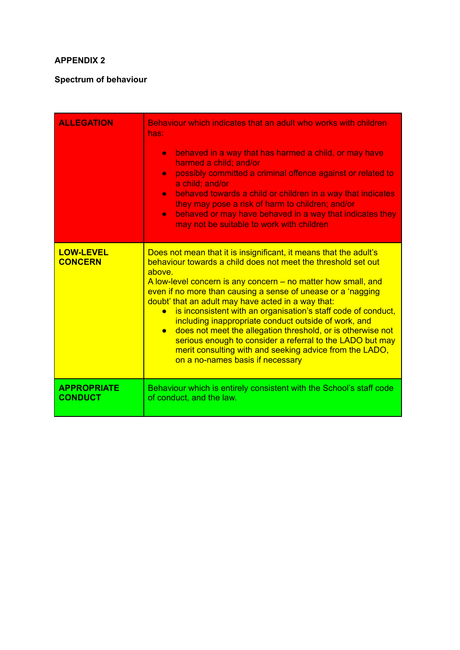# **APPENDIX 2**

# **Spectrum of behaviour**

| <b>ALLEGATION</b>                    | Behaviour which indicates that an adult who works with children<br>has:<br>behaved in a way that has harmed a child, or may have<br>$\bullet$<br>harmed a child: and/or<br>possibly committed a criminal offence against or related to<br>$\bullet$<br>a child; and/or<br>behaved towards a child or children in a way that indicates<br>$\bullet$<br>they may pose a risk of harm to children; and/or<br>behaved or may have behaved in a way that indicates they<br>$\bullet$<br>may not be suitable to work with children                                                                                                                                                                        |  |
|--------------------------------------|-----------------------------------------------------------------------------------------------------------------------------------------------------------------------------------------------------------------------------------------------------------------------------------------------------------------------------------------------------------------------------------------------------------------------------------------------------------------------------------------------------------------------------------------------------------------------------------------------------------------------------------------------------------------------------------------------------|--|
| <b>LOW-LEVEL</b><br><b>CONCERN</b>   | Does not mean that it is insignificant, it means that the adult's<br>behaviour towards a child does not meet the threshold set out<br>above<br>A low-level concern is any concern – no matter how small, and<br>even if no more than causing a sense of unease or a 'nagging<br>doubt' that an adult may have acted in a way that:<br>is inconsistent with an organisation's staff code of conduct,<br>including inappropriate conduct outside of work, and<br>does not meet the allegation threshold, or is otherwise not<br>$\bullet$<br>serious enough to consider a referral to the LADO but may<br>merit consulting with and seeking advice from the LADO,<br>on a no-names basis if necessary |  |
| <b>APPROPRIATE</b><br><b>CONDUCT</b> | Behaviour which is entirely consistent with the School's staff code<br>of conduct, and the law.                                                                                                                                                                                                                                                                                                                                                                                                                                                                                                                                                                                                     |  |